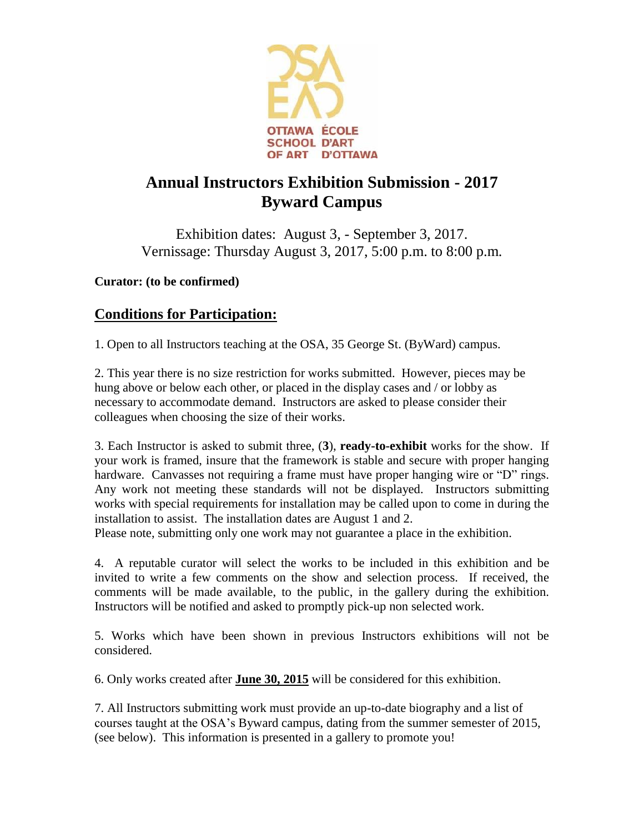

# **Annual Instructors Exhibition Submission - 2017 Byward Campus**

Exhibition dates: August 3, - September 3, 2017. Vernissage: Thursday August 3, 2017, 5:00 p.m. to 8:00 p.m.

**Curator: (to be confirmed)**

## **Conditions for Participation:**

1. Open to all Instructors teaching at the OSA, 35 George St. (ByWard) campus.

2. This year there is no size restriction for works submitted. However, pieces may be hung above or below each other, or placed in the display cases and / or lobby as necessary to accommodate demand. Instructors are asked to please consider their colleagues when choosing the size of their works.

3. Each Instructor is asked to submit three, (**3**), **ready-to-exhibit** works for the show. If your work is framed, insure that the framework is stable and secure with proper hanging hardware. Canvasses not requiring a frame must have proper hanging wire or "D" rings. Any work not meeting these standards will not be displayed. Instructors submitting works with special requirements for installation may be called upon to come in during the installation to assist. The installation dates are August 1 and 2.

Please note, submitting only one work may not guarantee a place in the exhibition.

4. A reputable curator will select the works to be included in this exhibition and be invited to write a few comments on the show and selection process. If received, the comments will be made available, to the public, in the gallery during the exhibition. Instructors will be notified and asked to promptly pick-up non selected work.

5. Works which have been shown in previous Instructors exhibitions will not be considered.

6. Only works created after **June 30, 2015** will be considered for this exhibition.

7. All Instructors submitting work must provide an up-to-date biography and a list of courses taught at the OSA's Byward campus, dating from the summer semester of 2015, (see below). This information is presented in a gallery to promote you!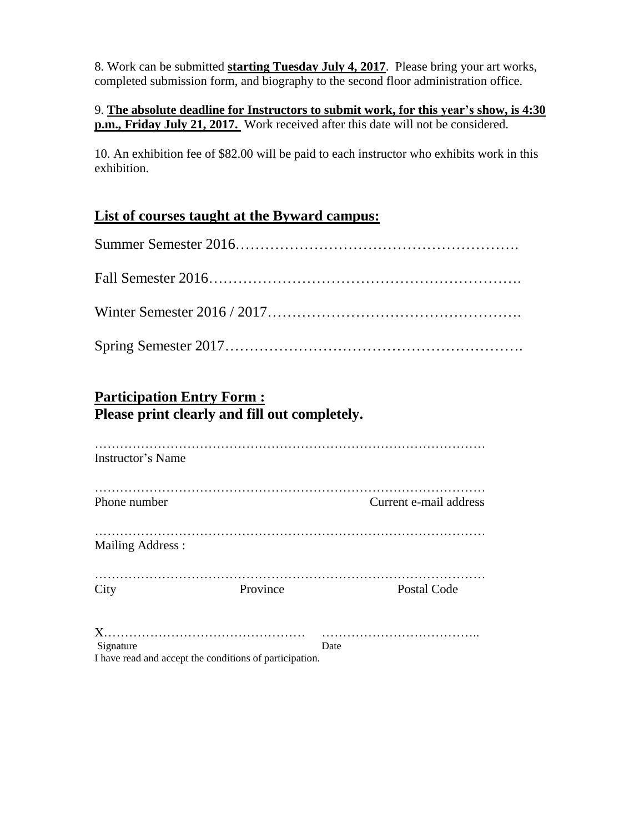8. Work can be submitted **starting Tuesday July 4, 2017**. Please bring your art works, completed submission form, and biography to the second floor administration office.

9. **The absolute deadline for Instructors to submit work, for this year's show, is 4:30 p.m., Friday July 21, 2017.** Work received after this date will not be considered.

10. An exhibition fee of \$82.00 will be paid to each instructor who exhibits work in this exhibition.

#### **List of courses taught at the Byward campus:**

## **Participation Entry Form : Please print clearly and fill out completely.**

| <b>Instructor's Name</b> |                                                         |                        |
|--------------------------|---------------------------------------------------------|------------------------|
| Phone number             |                                                         | Current e-mail address |
| <b>Mailing Address:</b>  |                                                         |                        |
| City                     | Province                                                | Postal Code            |
|                          |                                                         |                        |
| Signature                |                                                         | Date                   |
|                          | I have read and accept the conditions of participation. |                        |